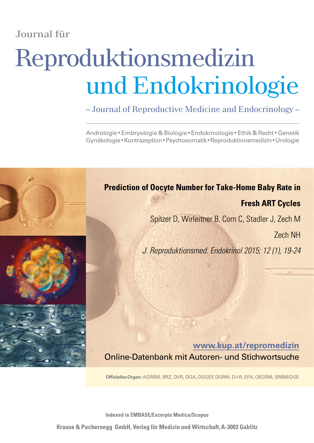# Journal für

# Reproduktionsmedizin und Endokrinologie

– Journal of Reproductive Medicine and Endocrinology –

Andrologie • Embryologie & Biologie • Endokrinologie • Ethik & Recht • Genetik Gynäkologie•Kontrazeption•Psychosomatik•Reproduktionsmedizin•Urologie



**Indexed in EMBASE/Excerpta Medica/Scopus**

**Krause & Pachernegg GmbH, Verlag für Medizin und Wirtschaft,A-3003 Gablitz**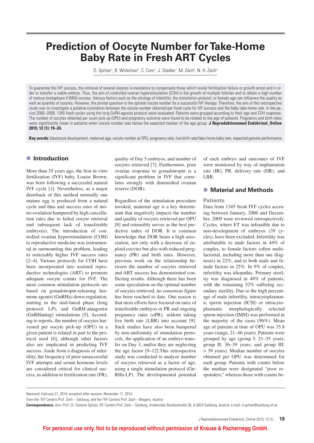# **Prediction of Oocyte Number for Take-Home Baby Rate in Fresh ART Cycles**

D. Spitzer<sup>1</sup>, B. Wirleitner<sup>2</sup>, C. Corn<sup>1</sup>, J. Stadler<sup>1</sup>, M. Zech<sup>2</sup>, N. H. Zech<sup>2</sup>

To guarantee the IVF success, the retrieval of several oocytes is mandatory to compensate those which reveal fertilization failure or growth arrest and in order to transfer a viable embryo. Thus, the aim of controlled ovarian hyperstimulation (COH) is the growth of multiple follicles and to obtain a high number of mature (metaphase II [MII]) oocytes. Various factors such as the etiology of infertility, the stimulation protocol, or female age can influence the quality as well as quantity of oocytes. However, the pivotal question is the optimal oocyte number for a successful IVF therapy. Therefore, the aim of this retrospective study was to investigate a putative correlation between the oocyte number obtained per fresh cycle for IVF success and the baby take-home rate. In the period 2006–2009, 1345 fresh cycles using the long GnRH-agonist protocol were evaluated. Patients were grouped according to their age and COH response. The number of oocytes obtained per ovum pick-up (OPU) and pregnancy outcome were found to be related to the age of patients. Pregnancy and birth rates were significantly lower in patients when oocyte number was below the expected median of the age group. **J Reproduktionsmed Endokrinol\_Online 2015; 12 (1): 19–24.**

**Key words:** blastocyst development, maternal age, oocyte number at OPU, pregnancy rate, live birth rate/take-home baby rate, expected gamete performance

#### **Introduction**

More than 35 years ago, the first in-vitro fertilization (IVF) baby, Louise Brown, was born following a successful natural IVF cycle [1]. Nevertheless, as a major drawback of this method normally one mature egg is produced from a natural cycle and thus and success rates of mono-ovulation hampered by high cancellation rates due to failed oocyte retrieval und subsequent lack of transferable embryo(s). The introduction of controlled ovarian hyperstimulation (COH) to reproductive medicine was instrumental in surmounting this problem, leading to noticeably higher IVF success rates [2–4]. Various protocols for COH have been incorporated into assisted reproductive technologies (ART) to promote adequate oocyte counts for IVF. The most common stimulation protocols are based on gonadotropin-releasing hormone agonist (GnRHa) down-regulation, starting in the mid-luteal phase (long protocol: LP), and GnRH-antagonist (GnRHantag) stimulations [5]. According to reports, the number of oocytes harvested per oocyte pick-up (OPU) in a given patient is related in part to the protocol used [6], although other factors also are implicated in predicting IVF success. Aside from a diagnosis of infertility, the frequency of prior unsuccessful IVF attempts and serum hormone levels are considered critical for clinical success, in addition to fertilization rate (FR),

quality of Day 5 embryos, and number of oocytes retrieved [7]. Furthermore, poor ovarian response to gonadotropin is a significant problem in IVF that correlates strongly with diminished ovarian reserve (DOR).

Regardless of the stimulation procedure invoked, maternal age is a key determinant that negatively impacts the number and quality of oocytes retrieved per OPU [8] and ostensibly serves as the best predictive index of DOR. It is common knowledge that DOR bears a high association, not only with a decrease of euploid oocytes but also with reduced pregnancy (PR) and birth rates. However, previous work on the relationship between the number of oocytes retrieved and ART success has demonstrated conflicting results. Although there has been some speculation on the optimal number of oocytes retrieved, no consensus figure has been reached to date. One reason is that most efforts have focused on rates of transferable embryos or PR and ongoing pregnancy rates (oPR), seldom taking live birth rate (LBR) into account [9]. Such studies have also been hampered by non-uniformity of stimulation protocols, the application of an embryo transfer on Day 3, and/or they are neglecting the age factor [9–12].This retrospective study was conducted to analyze number of oocytes retrieved as a factor of age, using a single stimulation protocol (Gn-RHa-LP). The developmental potential of each embryo and outcomes of IVF were monitored by way of implantation rate (IR), PR, delivery rate (DR), and LBR.

#### ■ Material and Methods

#### **Patients**

Data from 1345 fresh IVF cycles accruing between January, 2006 and December, 2009 were reviewed retrospectively. Cycles, where ET was infeasible due to non-development of embryos (39 cycles), have been excluded. Infertility was attributable to male factors in 44% of couples, to female factors (often multifactorial, including more than one diagnosis) in 22%, and to both male and female factors in 25%. In 9% of couples, infertility was idiopathic. Primary sterility was diagnosed in 48% of patients, with the remaining 52% suffering secondary sterility. Due to the high percentage of male infertility, intracytoplasmatic sperm injection (ICSI) or intracytoplasmatic morphologically selected sperm injection (IMSI) was performed in the majority of the cases (96%). Mean age of patients at time of OPU was 35.8 years (range, 21–46 years). Patients were grouped by age (group I: 21–35 years; group II: 36–39 years; and group III: > 39 years). Median number of oocytes obtained per OPU was determined for each group. Patients with counts below the median were designated "poor responders," whereas those with counts be-

Received: February 21, 2014; accepted after revision: November 11, 2014.

From the 'IVF Centers Prof. Zech – Salzburg, and the <sup>2</sup>IVF Centers Prof. Zech – Bregenz, Austria

**Correspondence:** Univ.-Prof. Dr. Dietmar Spitzer, IVF Centers Prof. Zech – Salzburg, Innsbrucker Bundesstraße 35, A-5020 Salzburg, Austria; e-mail: d.spitzer@salzburg.ivf.at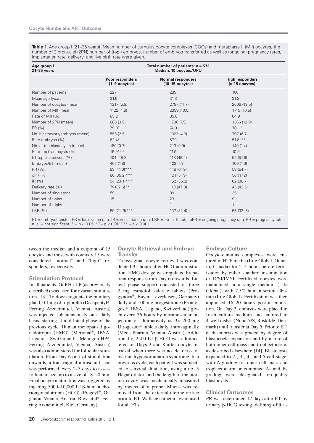**Table 1.** Age group I (21–35 years). Mean number of cumulus oocyte complexes (COCs) and metaphase II (MII) oocytes, the number of 2 pronuclei (2PN) number of (top-) embryos, number of embryos transferred as well as (ongoing) pregnancy rates, implantation rate, delivery and live birth rate were given.

| Age group I<br>$21 - 35$ years | Total number of patients: $n = 572$<br>Median: 10 oocytes/OPU |                                               |                                             |  |
|--------------------------------|---------------------------------------------------------------|-----------------------------------------------|---------------------------------------------|--|
|                                | Poor responders<br>$(1-9$ oocytes)                            | <b>Normal responders</b><br>$(10-15$ oocytes) | <b>High responders</b><br>$($ > 15 oocytes) |  |
| Number of patients             | 227                                                           | 239                                           | 106                                         |  |
| Mean age (years)               | 31.6                                                          | 31.3                                          | 31.3                                        |  |
| Number of oocytes (mean)       | 1317 (5.8)                                                    | 2797 (11.7)                                   | 2066 (19.5)                                 |  |
| Number of MII (mean)           | 1122 (4.9)                                                    | 2399 (10.0)                                   | 1749 (16.5)                                 |  |
| Rate of MII (%)                | 85.2                                                          | 85.8                                          | 84.9                                        |  |
| Number of 2PN (mean)           | 886 (3.9)                                                     | 1796 (7.5)                                    | 1366 (12.9)                                 |  |
| FR (%)                         | $79.0*$                                                       | 74.9                                          | $78.1*$                                     |  |
| Nb. blastocysts/embryos (mean) | 553(2.5)                                                      | 1023 (4.3)                                    | 707 (6.7)                                   |  |
| Rate embryos (%)               | $62.4*$                                                       | 57.0                                          | $51.8***$                                   |  |
| Nb. of top-blastocysts (mean)  | 150(0.7)                                                      | 213(0.9)                                      | 149(1.4)                                    |  |
| Rate top-blastocysts (%)       | $16.9***$                                                     | 11.9                                          | 10.9                                        |  |
| ET top-blastocysts (%)         | 104 (45.8)                                                    | 118 (49.4)                                    | 55 (51.9)                                   |  |
| Embryos/ET (mean)              | 407 (1.8)                                                     | 423(1.8)                                      | 169(1.6)                                    |  |
| PR (%)                         | 93 $(41.0)$ ***                                               | 148 (61.9)                                    | 58 (54.7)                                   |  |
| oPR (%)                        | 80 (35.2) ***                                                 | 124 (51.9)                                    | 50 (47.2)                                   |  |
| IR(%)                          | $94(23.1)***$                                                 | 152 (35.9)                                    | 62 (36.7)                                   |  |
| Delivery rate (%)              | 74 (32.6)**                                                   | 113 (47.3)                                    | 45 (42.5)                                   |  |
| Number of singletons           | 59                                                            | 89                                            | 35                                          |  |
| Number of twins                | 15                                                            | 23                                            | 9                                           |  |
| Number of triplets             |                                                               | 1                                             | 1                                           |  |
| LBR (%)                        | 89 (21.9) ***                                                 | 137 (32.4)                                    | 55(32.5)                                    |  |

ET = embryo transfer; FR = fertilization rate; IR = implantation rate; LBR = live birth rate; oPR = ongoing pregnancy rate; PR = pregnancy rate; n. s. = not significant;  $* = p < 0.05$ ;  $** = p < 0.01$ ;  $*** = p < 0.001$ .

tween the median and a cutpoint of 15 oocytes and those with counts > 15 were considered "normal" and "high" responders, respectively.

#### **Stimulation Protocol**

In all patients, GnRHa-LP (as previously described) was used for ovarian stimulation [13]. To down-regulate the pituitary gland, 0.1 mg of triptorelin (Decapeptyl®, Ferring Arzneimittel, Vienna, Austria) was injected subcutaneously on a daily basis, starting at mid-luteal phase of the previous cycle. Human menopausal gonadotropin (HMG) (Merional®, IBSA, Lugano, Switzerland; Menogon-HP®, Ferring Arzneimittel, Vienna, Austria) was also administered for follicular stimulation. From Day 6 or 7 of stimulation onwards, a transvaginal ultrasound scan was performed every 2–3 days to assess follicular size, up to a size of 18–20 mm. Final oocyte maturation was triggered by injecting  $5000-10,000$  IU  $\beta$ -human choriongonadotropin (HCG) (Pregnyl®, Organon, Vienna, Austria; Brevactid®; Ferring Arzneimittel, Kiel, Germany).

#### **Oocyte Retrieval and Embryo Transfer**

Transvaginal oocyte retrieval was conducted 35 hours after HCG-administration. HMG dosage was regulated by patient response from Day 6 onwards. Luteal phase support consisted of three 2 mg estradiol valerate tablets (Progynova®, Bayer, Leverkusen, Germany) daily and 100 mg progesterone (Prontogest®, IBSA, Lugano, Switzerland) given every 36 hours by intramuscular injection or alternatively as 3× 200 mg Utrogestan® tablets daily, intravaginally (Meda Pharma, Vienna, Austria). Additionally, 2500 IU  $\beta$ -HCG was administered on Days 3 and 8 after oocyte retrieval when there was no clear risk of ovarian hyperstimulation syndrome. In a previous cycle, each patient was subjected to cervical dilatation, using a no. 5 Hegar dilator, and the length of the uterine cavity was mechanically measured by means of a probe. Mucus was removed from the external uterine orifice prior to ET. Wallace catheters were used for all ETs.

#### **Embryo Culture**

Oocyte-cumulus complexes were cultured in HTF media (Life Global, Ontario, Canada) for 2–4 hours before fertilization by either standard insemination or ICSI/IMSI. Fertilized oocytes were maintained in a single medium (Life Global), with 7.5% human serum albumin (Life Global). Fertilization was then appraised 16–20 hours post-insemination. On Day 3, embryos were placed in fresh culture medium and cultured in 4-well dishes (Nunc A/S, Roskilde, Denmark) until transfer at Day 5. Prior to ET, each embryo was graded by degree of blastocoele expansion and by nature of both inner cell mass and trophectoderm, as described elsewhere [14]. Blastocysts expanded to 2-, 3-, 4-, and 5-cell stage, with A-grading for inner cell mass and trophectoderm or combined A- and Bgrading were designated top-quality blastocysts.

#### **Clinical Outcomes**

PR was determined 17 days after ET by urinary  $\beta$ -HCG testing, defining oPR as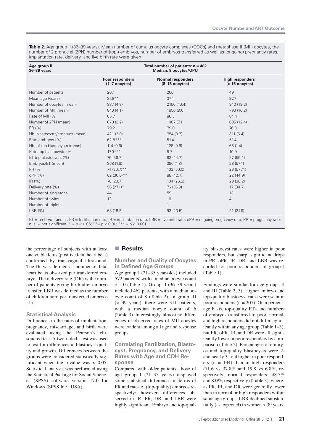**Table 2.** Age group II (36–39 years). Mean number of cumulus oocyte complexes (COCs) and metaphase II (MII) oocytes, the number of 2 pronuclei (2PN) number of (top-) embryos, number of embryos transferred as well as (ongoing) pregnancy rates, implantation rate, delivery and live birth rate were given.

| Age group II<br>36-39 years    | Total number of patients: $n = 462$<br>Median: 8 oocytes/OPU |                                              |                                             |  |
|--------------------------------|--------------------------------------------------------------|----------------------------------------------|---------------------------------------------|--|
|                                | Poor responders<br>$(1-7$ oocytes)                           | <b>Normal responders</b><br>$(8-15$ oocytes) | <b>High responders</b><br>$($ > 15 oocytes) |  |
| Number of patients             | 207                                                          | 206                                          | 49                                          |  |
| Mean age (years)               | $37.8***$                                                    | 37.4                                         | 37.7                                        |  |
| Number of oocytes (mean)       | 987 (4.8)                                                    | 2150 (10.4)                                  | 940 (19.2)                                  |  |
| Number of MII (mean)           | 846 (4.1)                                                    | 1856 (9.0)                                   | 793 (16.2)                                  |  |
| Rate of MII (%)                | 85.7                                                         | 86.3                                         | 84.4                                        |  |
| Number of 2PN (mean)           | 670 (3.2)                                                    | 1467(7.1)                                    | 605 (12.4)                                  |  |
| FR (%)                         | 79.2                                                         | 79.0                                         | 76.3                                        |  |
| Nb. blastocysts/embryos (mean) | 421(2.0)                                                     | 754 (3.7)                                    | 311(6.4)                                    |  |
| Rate embryos (%)               | 62.8***                                                      | 51.4                                         | 51.4                                        |  |
| Nb. of top-blastocysts (mean)  | 114(0.6)                                                     | 128 (0.6)                                    | 66 (1.4)                                    |  |
| Rate top-blastocysts (%)       | $17.0***$                                                    | 8.7                                          | 10.9                                        |  |
| ET top-blastocysts (%)         | 76 (36.7)                                                    | 92(44.7)                                     | 27(55.1)                                    |  |
| Embryos/ET (mean)              | 368 (1.8)                                                    | 396 (1.8)                                    | 28 (57.1)                                   |  |
| PR (%)                         | 74 (36.7)**                                                  | 103 (50.0)                                   | 28 (57.71)                                  |  |
| oPR (%)                        | 62 (30.0) **                                                 | 88 (42.7)                                    | 22 (44.9)                                   |  |
| IR(%)                          | 76 (20.7)                                                    | 104 (26.3)                                   | 29(30.2)                                    |  |
| Delivery rate (%)              | 56 $(27.1)$ *                                                | 76 (36.9)                                    | 17(34.7)                                    |  |
| Number of singletons           | 44                                                           | 59                                           | 13                                          |  |
| Number of twins                | 12                                                           | 16                                           | $\overline{4}$                              |  |
| Number of triplets             |                                                              | 1                                            |                                             |  |
| LBR (%)                        | 68 (18.5)                                                    | 93 (23.5)                                    | 21(21.9)                                    |  |

ET = embryo transfer; FR = fertilization rate; IR = implantation rate; LBR = live birth rate; oPR = ongoing pregnancy rate; PR = pregnancy rate; n. s. = not significant;  $* = p < 0.05$ ;  $** = p < 0.01$ ;  $** = p < 0.001$ .

the percentage of subjects with at least one viable fetus (positive fetal heart beat) confirmed by transvaginal ultrasound. The IR was defined as number of fetal heart beats observed per transferred embryo. The delivery rate (DR) is the number of patients giving birth after embryo transfer. LBR was defined as the number of children born per transferred embryos [15].

#### **Statistical Analysis**

Differences in the rates of implantation, pregnancy, miscarriage, and birth were evaluated using the Pearson's chisquared test. A two-tailed t-test was used to test for differences in blastocyst quality and growth. Differences between the groups were considered statistically significant when the p-value was < 0.05. Statistical analysis was performed using the Statistical Package for Social Sciences (SPSS) software version 17.0 for Windows (SPSS Inc., USA).

#### **Results**

#### **Number and Quality of Oocytes in Defined Age Groups**

Age group I (21–35 year-olds) included 572 patients, with a median oocyte count of 10 (Table 1). Group II (36–39 years) included 462 patients, with a median oocyte count of 8 (Table 2). In group III (> 39 years), there were 311 patients, with a median oocyte count of 6 (Table 3). Interestingly, almost no differences in observed rates of MII oocytes were evident among all age and response groups.

#### **Correlating Fertilization, Blastocyst, Pregnancy, and Delivery Rates with Age and COH Response**

Compared with older patients, those of age group I (21–35 years) displayed some statistical differences in terms of FR and rates of (top-quality) embryos respectively; however, differences observed in IR, PR, DR, and LBR were highly significant. Embryo and top-quality blastocyst rates were higher in poor responders, but sharp, significant drops in PR, oPR, IR, DR, and LBR was recorded for poor responders of group I (Table 1).

Findings were similar for age groups II and III (Table 2, 3). Higher embryo and top-quality blastocyst rates were seen in poor responders ( $n = 207$ ). On a percentage basis, top-quality ETs and numbers of embryos transferred to poor, normal, and high responders did not differ significantly within any age group (Table 1–3), but PR, oPR, IR, and DR were all significantly lower in poor responders by comparison (Table 2). Percentages of embryos and top-quality blastocysts were 2 and nearly 3-fold higher in poor responders ( $n = 134$ ) than in high responders (71.6 vs 37.8% and 19.8 vs 6.8%, respectively; normal responders:  $48.5\%$ and 8.0%, respectively) (Table 3), whereas PR, IR, and DR were generally lower than in normal or high responders within same age groups. LBR declined substantially (as expected) in women > 39 years.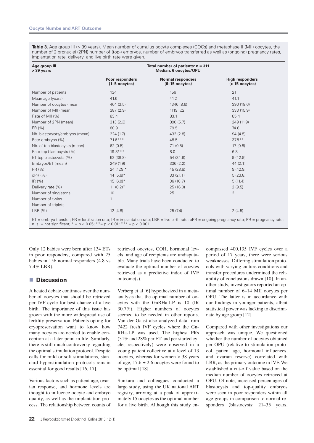**Table 3.** Age group III (> 39 years). Mean number of cumulus oocyte complexes (COCs) and metaphase II (MII) oocytes, the number of 2 pronuclei (2PN) number of (top-) embryos, number of embryos transferred as well as (ongoing) pregnancy rates, implantation rate, delivery and live birth rate were given.

| Age group III<br>> 39 years    | Total number of patients: $n = 311$<br>Median: 6 oocytes/OPU |                                              |                                             |  |
|--------------------------------|--------------------------------------------------------------|----------------------------------------------|---------------------------------------------|--|
|                                | Poor responders<br>$(1-5$ oocytes)                           | <b>Normal responders</b><br>$(6-15$ oocytes) | <b>High responders</b><br>$($ > 15 oocytes) |  |
| Number of patients             | 134                                                          | 156                                          | 21                                          |  |
| Mean age (years)               | 41.6                                                         | 41.2                                         | 41.1                                        |  |
| Number of oocytes (mean)       | 464 (3.5)                                                    | 1346 (8.6)                                   | 390 (18.6)                                  |  |
| Number of MII (mean)           | 387(2.9)                                                     | 1119 (7.2)                                   | 333 (15.9)                                  |  |
| Rate of MII (%)                | 83.4                                                         | 83.1                                         | 85.4                                        |  |
| Number of 2PN (mean)           | 313(2.3)                                                     | 890 (5.7)                                    | 249 (11.9)                                  |  |
| FR (%)                         | 80.9                                                         | 79.5                                         | 74.8                                        |  |
| Nb. blastocysts/embryos (mean) | 224(1.7)                                                     | 432 (2.8)                                    | 94(4.5)                                     |  |
| Rate embryos (%)               | $71.6***$                                                    | 48.5                                         | $37.8***$                                   |  |
| Nb. of top-blastocysts (mean)  | 62(0.5)                                                      | 71(0.5)                                      | 17(0.8)                                     |  |
| Rate top-blastocysts (%)       | $19.8***$                                                    | 8.0                                          | 6.8                                         |  |
| ET top-blastocysts (%)         | 52 (38.8)                                                    | 54 (34.6)                                    | 9(42.9)                                     |  |
| Embryos/ET (mean)              | 249 (1.9)                                                    | 336(2.2)                                     | 44(2.1)                                     |  |
| PR (%)                         | 24 (17.9)*                                                   | 45 (28.8)                                    | 9(42.9)                                     |  |
| oPR (%)                        | $14(5.6)$ *                                                  | 33(21.1)                                     | 5(23.8)                                     |  |
| IR(%)                          | $15(6.0)*$                                                   | 36 (10.7)                                    | 5(11.4)                                     |  |
| Delivery rate (%)              | 11 $(8.2)$ *                                                 | 25 (16.0)                                    | 2(9.5)                                      |  |
| Number of singletons           | 10                                                           | 25                                           | $\overline{2}$                              |  |
| Number of twins                | 1                                                            |                                              |                                             |  |
| Number of triplets             |                                                              |                                              |                                             |  |
| LBR (%)                        | 12(4.8)                                                      | 25(7.4)                                      | 2(4.5)                                      |  |

ET = embryo transfer; FR = fertilization rate; IR = implantation rate; LBR = live birth rate; oPR = ongoing pregnancy rate; PR = pregnancy rate; n. s. = not significant; \* = p < 0.05; \*\* = p < 0.01; \*\* \* = p < 0.001. n. s. = not significant;  $* = p < 0.05$ ;  $** = p < 0.01$ ;  $**$ 

Only 12 babies were born after 134 ETs in poor responders, compared with 25 babies in 156 normal responders (4.8 vs 7.4% LBR).

#### **Discussion**

A heated debate continues over the number of oocytes that should be retrieved per IVF cycle for best chance of a live birth. The importance of this issue has grown with the more widespread use of fertility preservation. Patients opting for cryopreservation want to know how many oocytes are needed to enable conception at a later point in life. Similarly, there is still much controversy regarding the optimal stimulation protocol. Despite calls for mild or soft stimulations, standard hyperstimulation protocols remain essential for good results [16, 17].

Various factors such as patient age, ovarian response, and hormone levels are thought to influence oocyte and embryo quality, as well as the implantation process. The relationship between counts of retrieved oocytes, COH, hormonal levels, and age of recipients are undisputable. Many trials have been conducted to evaluate the optimal number of oocytes retrieved as a predictive index of IVF outcome(s).

Verberg et al [6] hypothesized in a metaanalysis that the optimal number of oocytes with the GnRHa-LP is 10 (IR 30.7%). Higher numbers of oocytes seemed to be needed in other reports. Van der Gaast also analyzed data from 7422 fresh IVF cycles where the Gn-RHa-LP was used. The highest PRs (31% and 28% per ET and per started cycle, respectively) were observed in a young patient collective at a level of 13 oocytes, whereas for women > 38 years of age,  $17.6 \pm 2.6$  oocytes were found to be optimal [18].

Sunkara and colleagues conducted a large study, using the UK national ART registry, arriving at a peak of approximately 15 oocytes as the optimal number for a live birth. Although this study encompassed 400,135 IVF cycles over a period of 17 years, there were serious weaknesses. Differing stimulation protocols with varying culture conditions and transfer procedures undermined the reliability of conclusions drawn [10]. In another study, investigators reported an optimal number of 6–14 MII oocytes per OPU. The latter is in accordance with our findings in younger patients, albeit statistical power was lacking to discriminate by age group [12].

Compared with other investigations our approach was unique. We questioned whether the number of oocytes obtained per OPU (relative to stimulation protocol, patient age, hormonal influences, and ovarian reserve) correlated with LBR, as the primary outcome in IVF. We established a cut-off value based on the median number of oocytes retrieved at OPU. Of note, increased percentages of blastocysts and top-quality embryos were seen in poor responders within all age groups in comparison to normal responders (blastocysts: 21–35 years,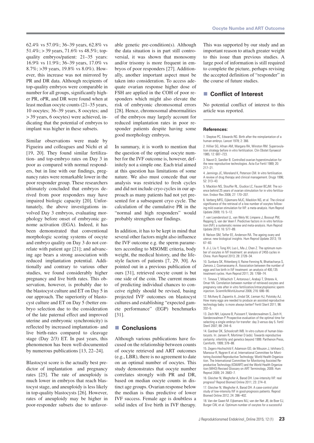62.4% vs 57.0%; 36–39 years, 62.8% vs 51.4%; > 39 years, 71.6% vs 48.5%; topquality embryos/patient: 21–35 years: 16.9% vs 11.9%; 36–39 years, 17.0% vs 8.7%; >39 years, 19.8% vs 8.0%). However, this increase was not mirrored by PR and DR data. Although recipients of top-quality embryos were comparable in number for all groups, significantly higher PR, oPR, and DR were found when at least median oocyte counts (21–35 years, 10 oocytes; 36–39 years, 8 oocytes; and > 39 years, 6 oocytes) were achieved, indicating that the potential of embryos to implant was higher in these subsets.

Similar observations were made by Figueira and colleagues and Nichi et al [19, 20]. They found similar fertilization- and top-embryo rates on Day 3 in poor as compared with normal responders, but in line with our findings, pregnancy rates were remarkable lower in the poor responder group. These researchers ultimately concluded that embryos derived from poor responders may have impaired biologic capacity [20]. Unfortunately, the above investigations involved Day 3 embryos, evaluating morphology before onset of embryonic genome activation (EGA). Indeed, it has been demonstrated that conventional morphologic scoring systems of oocyte and embryo quality on Day 3 do not correlate with patient age [21]; and advancing age bears a strong association with reduced implantation potential. Additionally and contrary to various other studies, we found considerably higher pregnancy and live birth rates. This observation, however, is probably due to the blastocyst culture and ET on Day 5 in our approach. The superiority of blastocyst culture and ET on Day 5 (better embryo selection due to the consideration of the late paternal effect and improved uterine and embryonic synchronicity) is reflected by increased implantation- and live birth-rates compared to cleavage stage (Day 2/3) ET. In past years, this phenomenon has been well-documented by numerous publications [13, 22–24].

Blastocyst score is the actually best predictor of implantation and pregnancy rates [25]. The rate of aneuploidy is much lower in embryos that reach blastocyst stage, and aneuploidy is less likely in top-quality blastocysts [26]. However, rates of aneuploidy may be higher in poor-responder subsets due to unfavorable genetic pre-condition(s). Although the data situation is in part still controversial, it was shown that monosomy and/or trisomy is more frequent in embryos of poor responders [27]. Additionally, another important aspect must be taken into consideration. To access adequate ovarian response higher dose of FSH are applied in the COH of poor responders which might also elevate the risk of embryonic chromosomal errors [28]. Hence, chromosomal abnormalities of the embryos may largely account for reduced implantation rates in poor responder patients despite having some good morphology embryos.

In summary, it is worth to mention that the question of the optimal oocyte number for the IVF outcome is, however, definitely not a simple one. Each trial aimed at this question has limitations of some nature. We also must concede that our analysis was restricted to fresh cycles and did not include cryo cycles in our approach as many patients had not yet presented for a subsequent cryo cycle. The calculation of the cumulative PR in the "normal and high responders" would probably strengthen our findings.

In addition, it has to be kept in mind that several other factors might also influence the IVF outcome e.g. the sperm parameters according to MSOME criteria, body weight, the medical history, and the lifestyle factors of patients [7, 29, 30]. As pointed out in a previous publication of ours [31], retrieved oocyte count is but one side of the coin. The current means of predicting individual chances to conceive rightly should be revised, basing projected IVF outcomes on blastocyst cultures and establishing "expected gamete performance" (EGP) benchmarks [31].

#### **Conclusions**

Although various publications have focused on the relationship between counts of oocyte retrieved and ART outcomes (e.g., LBR), there is no agreement to date on an optimal number of oocytes. This study demonstrates that oocyte number correlates strongly with PR and DR, based on median oocyte counts in distinct age groups. Ovarian response below the median is thus predictive of lower IVF success. Female age is doubtless a solid index of live birth in IVF therapy. This was supported by our study and an important reason to attach greater weight to this issue than previous studies. A large pool of information is still required to complete the picture, perhaps revising the accepted definition of "responder" in the course of future studies.

#### ■ Conflict of Interest

No potential conflict of interest to this article was reported.

#### **References:**

1. Steptoe PC, Edwards RG, Birth after the reimplantation of a human embryo. Lancet 1978; 2: 366.

2. Hillier SG, Afnan AM, Margara RA, Winston RM, Superovulation strategy before in vitro fertilization. Clin Obstet Gynaecol 1985; 12: 687–723.

3. Navot D, Sandler B. Controlled ovarian hyperstimulation for the new reproductive technologies. Acta Eur Fertil 1989; 20: 217–21.

4. Jennings JC, Moreland K, Peterson CM. In vitro fertilisation. A review of drug therapy and clinical management. Drugs 1996; 52: 313–43.

5. Macklon NS, Stouffer RL, Giudice LC, Fauser BCJM. The science behind 25 years of ovarian stimulation for in vitro fertilization. Endocr Rev 2006; 27: 170–207.

6. Verberg MFG, Eijkemans MJC, Macklon NS, et al. The clinical significance of the retrieval of a low number of oocytes following mild ovarian stimulation for IVF: a meta-analysis. Hum Reprod Update 2009; 15: 5–12.

7. van Loendersloot LL, van Wely M, Limpens J, Bossuyt PM, Repping S, van der Veen F. Predictive factors in in vitro fertilization (IVF): a systematic review and meta-analysis. Hum Reprod Update 2010; 16: 577–89.

8. Nelson SM, Telfer EE, Anderson RA. The ageing ovary and uterus: new biological insights. Hum Reprod Update 2013; 19: 67–83.

9. Ji J, Liu Y, Tong XH, Luo L, Ma J, Chen Z. The optimum number of oocytes in IVF treatment: an analysis of 2455 cycles in China. Hum Reprod 2013; 28: 2728–34.

10. Sunkara SK, Rittenberg V, Raine-Fenning N, Bhattacharya S, Zamora J, Coomarasamy A. Association between the number of eggs and live birth in IVF treatment: an analysis of 400,135 treatment cycles. Hum Reprod 2011; 26: 1768–74.

11. Timeva T, Milachich T, Antonova I, Arabaji T, Shterev A, Omar HA. Correlation between number of retrieved oocytes and pregnancy rate after in vitro fertilization/intracytoplasmic sperm injection. ScientificWorldJournal 2006; 216: 686-90.

12. McAvey B, Zapantis A, Jindal SK, Lieman HJ, Polotsky AJ. How many eggs are needed to produce an assisted reproductive technology baby: is more always better? Fertil Steril 2011; 96: 332–5.

13. Zech NH, Lejeune B, Puissant F, Vanderzwalmen S, Zech H, Vanderzwalmen P. Prospective evaluation of the optimal time for selecting a single embryo for transfer: day 3 versus day 5. Fertil Steril 2007; 88: 244–6.

14. Gardner DK, Schoolcraft WB. In vitro culture of human blastocysts. In: Jansen R, Mortimer D (eds). Towards reproductive certainty: infertility and genetics beyond 1999. Parthenon Press, Carnforth, 1999; 378–88.

15. Zegers-Hochschild F, Adamson GD, de Mouzon J, Ishihara O, Mansour R, Nygren K et al; International Committee for Monitoring Assisted Reproductive Technology; World Health Organization. The International Committee for Monitoring Assisted Reproductive Technology (ICMART) and the World Health Organization (WHO) Revised Glossary on ART Terminology, 2009. Hum Reprod 2009; 24: 2683–7.

16. Gleicher N, Weghofer A, Barad DH. Low-intensity IVF: real progress? Reprod Biomed Online 2011; 23: 274–8.

17. Gleicher N, Weghofer A, Barad DH. A case-control pilot study of low-intensity IVF in good-prognosis patients. Reprod Biomed Online 2012; 24: 396–402.

18. Van der Gaast M. Eijkemans MJ, van der Net JB, de Boer EJ, Burger CW, et al. Optimum number of oocytes for a successful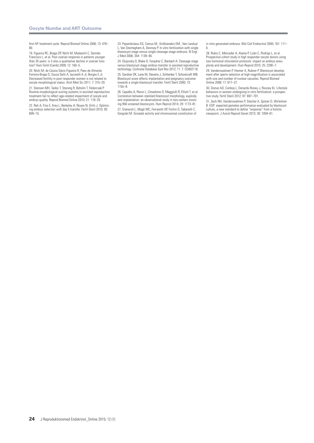first IVF treatment cycle. Reprod Biomed Online 2006; 13: 476-80.

19. Figueira RC, Braga DP, Nichi M, Madaschi C, Semião-Francisco L, et al. Poor ovarian response in patients younger than 35 years: is it also a qualitative decline in ovarian function? Hum Fertil (Camb) 2009; 12: 160–5.

20. Nichi M, de Cassia Sávio Figueira R, Paes de Almeida Ferreira Braga D, Souza Setti A, Iaconelli A Jr, Borges E Jr. Decreased fertility in poor responder women is not related to oocyte morphological status. Arch Med Sci 2011; 7: 315–20. 21. Stensen MH, Tanbo T, Storeng R, Byholm T, Fèdorcsak P. Routine morphological scoring systems in assisted reproduction

treatment fail to reflect age-related impairment of oocyte and embryo quality. Reprod Biomed Online 2010; 21: 118–25. 22. Reh A, Fino E, Krey L, Berkeley A, Noyes N, Grifo J. Optimiz-

ing embryo selection with day 5 transfer. Fertil Steril 2010; 93: 609–15.

23. Papanikolaou EG, Camus M., Kolibianakis EM., Van Landuyt L, Van Steirteghem A, Devroey P. In vitro fertilization with single blastocyst-stage versus single cleavage-stage embryos. N Engl J Med 2006; 354: 1139–46.

24. Glujovsky D, Blake D, Farquhar C, Bardach A. Cleavage stage versus blastocyst stage embryo transfer in assisted reproductive technology. Cochrane Database Syst Rev 2012; 11: 7: CD002118. 25. Gardner DK, Lane M, Stevens, J, Schlenker T, Schoolcraft WB. Blastocyst score affects implantation and pregnancy outcome: towards a single blastocyst transfer. Fertil Steril 2000; 73: 1155–8.

26. Capalbo A, Rienzi L, Cimadomo D, Maggiulli R, Elliott T, et al. Correlation between standard blastocyst morphology, euploidy and implantation: an observational study in two centers involving 956 screened blastocysts. Hum Reprod 2014; 29: 1173–81. 27. Gianaroli L, Magli MC, Ferraretti AP, Fortini D, Tabanelli C, Gergolet M. Gonadal activity and chromosomal constitution of

in vitro generated embryos. Mol Cell Endocrinol 2000; 161: 111– 6.

28. Rubio C, Mercader A, Alama P, Lizán C, Rodrigo L, et al. Prospective cohort study in high responder oocyte donors using two hormonal stimulation protocols: impact on embryo aneuploidy and development. Hum Reprod 2010; 25: 2290–7.

29. Vanderzwalmen P, Hiemer A, Rubner P. Blastocyst development after sperm selection at high magnification is associated with size and number of nuclear vacuoles. Reprod Biomed Online 2008; 17: 617–27.

30. Domar AD, Conboy L, Denardo-Roney J, Rooney KL. Lifestyle behaviors in women undergoing in vitro fertilization: a prospective study. Fertil Steril 2012; 97: 697–701.

31. Zech NH, Vanderzwalmen P, Stecher A, Spitzer D, Wirleitner B. EGP: expected gametes performance evaluated by blastocyst culture, a new standard to define "response" from a holistic viewpoint. J Assist Reprod Genet 2013; 30: 1059–61.